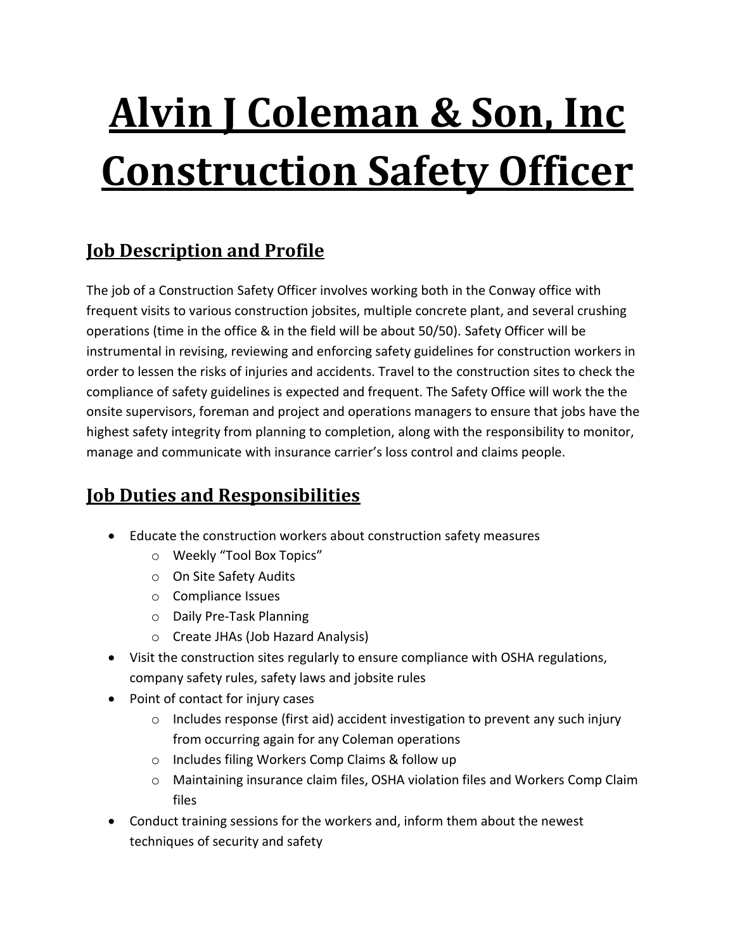# **Alvin J Coleman & Son, Inc Construction Safety Officer**

## **Job Description and Profile**

The job of a Construction Safety Officer involves working both in the Conway office with frequent visits to various construction jobsites, multiple concrete plant, and several crushing operations (time in the office & in the field will be about 50/50). Safety Officer will be instrumental in revising, reviewing and enforcing safety guidelines for construction workers in order to lessen the risks of injuries and accidents. Travel to the construction sites to check the compliance of safety guidelines is expected and frequent. The Safety Office will work the the onsite supervisors, foreman and project and operations managers to ensure that jobs have the highest safety integrity from planning to completion, along with the responsibility to monitor, manage and communicate with insurance carrier's loss control and claims people.

### **Job Duties and Responsibilities**

- Educate the construction workers about construction safety measures
	- o Weekly "Tool Box Topics"
	- o On Site Safety Audits
	- o Compliance Issues
	- o Daily Pre-Task Planning
	- o Create JHAs (Job Hazard Analysis)
- Visit the construction sites regularly to ensure compliance with OSHA regulations, company safety rules, safety laws and jobsite rules
- Point of contact for injury cases
	- o Includes response (first aid) accident investigation to prevent any such injury from occurring again for any Coleman operations
	- o Includes filing Workers Comp Claims & follow up
	- o Maintaining insurance claim files, OSHA violation files and Workers Comp Claim files
- Conduct training sessions for the workers and, inform them about the newest techniques of security and safety